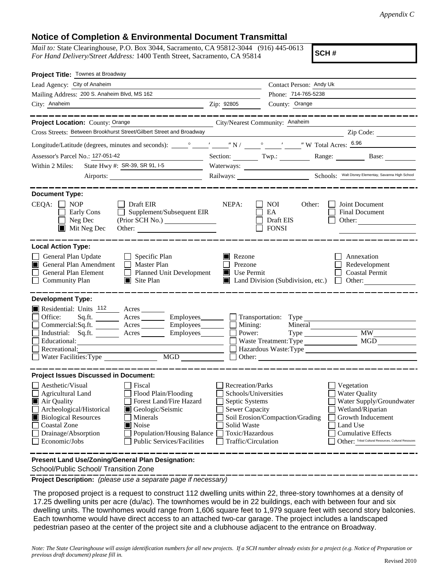*Appendix C*

## **Notice of Completion & Environmental Document Transmittal**

*Mail to:* State Clearinghouse, P.O. Box 3044, Sacramento, CA 95812-3044 (916) 445-0613 *For Hand Delivery/Street Address:* 1400 Tenth Street, Sacramento, CA 95814

**SCH #**

| Project Title: Townes at Broadway                                                                                                                                                                                                                                                                                                                                                                                      |                                                                                                                                                     |                                                  |                                                                                                                                                                                                         |  |  |
|------------------------------------------------------------------------------------------------------------------------------------------------------------------------------------------------------------------------------------------------------------------------------------------------------------------------------------------------------------------------------------------------------------------------|-----------------------------------------------------------------------------------------------------------------------------------------------------|--------------------------------------------------|---------------------------------------------------------------------------------------------------------------------------------------------------------------------------------------------------------|--|--|
| Lead Agency: City of Anaheim                                                                                                                                                                                                                                                                                                                                                                                           |                                                                                                                                                     | Contact Person: Andy Uk                          |                                                                                                                                                                                                         |  |  |
| Mailing Address: 200 S. Anaheim Blvd, MS 162                                                                                                                                                                                                                                                                                                                                                                           |                                                                                                                                                     |                                                  | Phone: 714-765-5238                                                                                                                                                                                     |  |  |
| City: Anaheim                                                                                                                                                                                                                                                                                                                                                                                                          | Zip: 92805                                                                                                                                          | County: Orange                                   |                                                                                                                                                                                                         |  |  |
|                                                                                                                                                                                                                                                                                                                                                                                                                        |                                                                                                                                                     |                                                  |                                                                                                                                                                                                         |  |  |
| Project Location: County: Orange<br>City/Nearest Community: Anaheim                                                                                                                                                                                                                                                                                                                                                    |                                                                                                                                                     |                                                  |                                                                                                                                                                                                         |  |  |
| Cross Streets: Between Brookhurst Street/Gilbert Street and Broadway                                                                                                                                                                                                                                                                                                                                                   |                                                                                                                                                     |                                                  | $\overline{2ip \text{ Code:}}$                                                                                                                                                                          |  |  |
|                                                                                                                                                                                                                                                                                                                                                                                                                        |                                                                                                                                                     |                                                  |                                                                                                                                                                                                         |  |  |
| Assessor's Parcel No.: 127-051-42<br><u> 1989 - Johann Barbara, martxa a</u>                                                                                                                                                                                                                                                                                                                                           |                                                                                                                                                     |                                                  | Section: Twp.: Twp.: Range: Base: Base:                                                                                                                                                                 |  |  |
| State Hwy #: SR-39, SR 91, I-5<br>Within 2 Miles:                                                                                                                                                                                                                                                                                                                                                                      |                                                                                                                                                     |                                                  |                                                                                                                                                                                                         |  |  |
| Airports:                                                                                                                                                                                                                                                                                                                                                                                                              |                                                                                                                                                     |                                                  | Railways: <u>Chools: Walt Disney Elementay, Savanna High School</u>                                                                                                                                     |  |  |
| <b>Document Type:</b><br>CEQA:<br>$\blacksquare$ NOP<br>$\Box$ Draft EIR<br>Supplement/Subsequent EIR<br>Early Cons<br>$\Box$ Neg Dec<br>(Prior SCH No.)<br>$\blacksquare$ Mit Neg Dec                                                                                                                                                                                                                                 | NEPA:                                                                                                                                               | NOI<br>Other:<br>EA<br>Draft EIS<br><b>FONSI</b> | Joint Document<br><b>Final Document</b><br>Other:                                                                                                                                                       |  |  |
| <b>Local Action Type:</b><br>General Plan Update<br>$\Box$ Specific Plan<br>General Plan Amendment<br>$\Box$ Master Plan<br><b>General Plan Element</b><br>Planned Unit Development<br><b>Community Plan</b><br>$\Box$ Site Plan                                                                                                                                                                                       | $\blacksquare$ Rezone<br>Prezone<br>$\blacksquare$ Use Permit                                                                                       | $\blacksquare$ Land Division (Subdivision, etc.) | Annexation<br>Redevelopment<br><b>Coastal Permit</b><br>Other: $\qquad \qquad$<br>$\perp$                                                                                                               |  |  |
| <b>Development Type:</b><br>Residential: Units 112 Acres<br>Office:<br>Sq.ft. ________ Acres _________ Employees ________ __ Transportation: Type<br>$Commercial:Sq.fit.$ $\qquad \qquad \text{Acres}$ $\qquad \qquad \text{Employees}$ $\qquad \qquad \text{Mining:}$<br>Industrial: Sq.ft. _______ Acres ________ Employees________ $\Box$<br>Educational:<br>Recreational:<br>MGD<br>Water Facilities: Type         |                                                                                                                                                     | Power:<br>Type<br>Waste Treatment: Type          | <b>MW</b><br>MGD<br>Hazardous Waste: Type                                                                                                                                                               |  |  |
| <b>Project Issues Discussed in Document:</b><br>Aesthetic/Visual<br>Fiscal<br>Agricultural Land<br>Flood Plain/Flooding<br>Forest Land/Fire Hazard<br>Air Quality<br>Archeological/Historical<br>Geologic/Seismic<br><b>Biological Resources</b><br>Minerals<br><b>Coastal Zone</b><br>$\blacksquare$ Noise<br>Drainage/Absorption<br>Population/Housing Balance<br>Economic/Jobs<br><b>Public Services/Facilities</b> | <b>Recreation/Parks</b><br>Schools/Universities<br>Septic Systems<br><b>Sewer Capacity</b><br>Solid Waste<br>Toxic/Hazardous<br>Traffic/Circulation | Soil Erosion/Compaction/Grading                  | Vegetation<br><b>Water Quality</b><br>Water Supply/Groundwater<br>Wetland/Riparian<br>Growth Inducement<br>Land Use<br><b>Cumulative Effects</b><br>Other: Tribal Cultural Resources, Cultural Resouces |  |  |
| Present Land Use/Zoning/General Plan Designation:                                                                                                                                                                                                                                                                                                                                                                      |                                                                                                                                                     |                                                  |                                                                                                                                                                                                         |  |  |

School/Public School/ Transition Zone

**Project Description:** *(please use a separate page if necessary)*

 The proposed project is a request to construct 112 dwelling units within 22, three-story townhomes at a density of 17.25 dwelling units per acre (du/ac). The townhomes would be in 22 buildings, each with between four and six dwelling units. The townhomes would range from 1,606 square feet to 1,979 square feet with second story balconies. Each townhome would have direct access to an attached two-car garage. The project includes a landscaped pedestrian paseo at the center of the project site and a clubhouse adjacent to the entrance on Broadway.

*Note: The State Clearinghouse will assign identification numbers for all new projects. If a SCH number already exists for a project (e.g. Notice of Preparation or previous draft document) please fill in.*